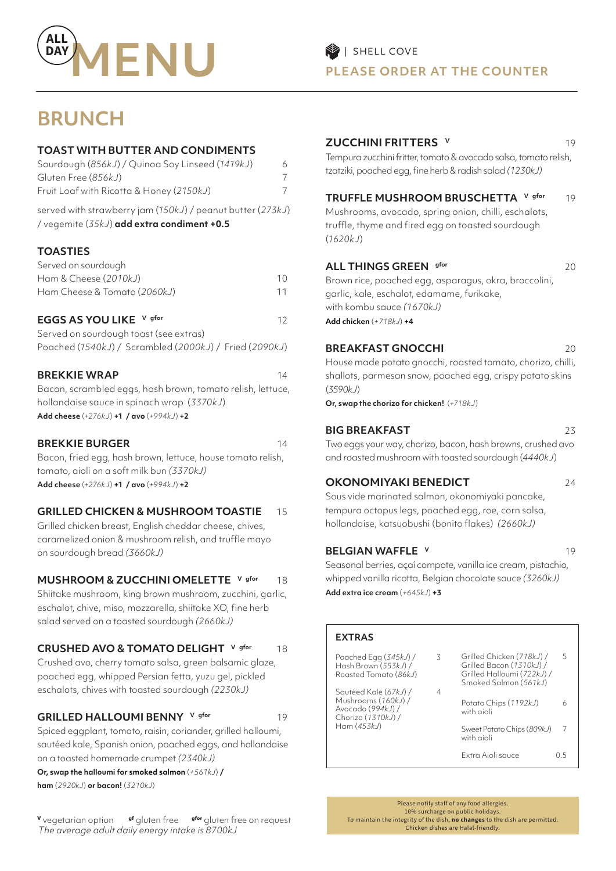

## **BRUNCH**

#### **TOAST WITH BUTTER AND CONDIMENTS**

| Sourdough (856kJ) / Quinoa Soy Linseed (1419kJ)                                                            | 6 |
|------------------------------------------------------------------------------------------------------------|---|
| Gluten Free (856kJ)                                                                                        |   |
| Fruit Loaf with Ricotta & Honey (2150kJ)                                                                   |   |
| served with strawberry jam (150kJ) / peanut butter (273kJ)<br>/ vegemite $(35kJ)$ add extra condiment +0.5 |   |

#### **TOASTIES**

| Served on sourdough          |    |
|------------------------------|----|
| Ham & Cheese (2010kJ)        | 10 |
| Ham Cheese & Tomato (2060kJ) |    |

#### **EGGS AS YOU LIKE** V gfor 12

| Served on sourdough toast (see extras) |                                                        |  |
|----------------------------------------|--------------------------------------------------------|--|
|                                        | Poached (1540kJ) / Scrambled (2000kJ) / Fried (2090kJ) |  |

#### **BREKKIE WRAP** 14

Bacon, scrambled eggs, hash brown, tomato relish, lettuce, hollandaise sauce in spinach wrap (*3370kJ*) **Add cheese** (*+276kJ*) **+1 / avo** (*+994kJ*) **+2**

#### **BREKKIE BURGER 14**

Bacon, fried egg, hash brown, lettuce, house tomato relish, tomato, aioli on a soft milk bun *(3370kJ)* **Add cheese** (*+276kJ*) **+1 / avo** (*+994kJ*) **+2**

#### **GRILLED CHICKEN & MUSHROOM TOASTIE** 15

Grilled chicken breast, English cheddar cheese, chives, caramelized onion & mushroom relish, and truffle mayo on sourdough bread *(3660kJ)*

#### **MUSHROOM & ZUCCHINI OMELETTE V gfor 18**

Shiitake mushroom, king brown mushroom, zucchini, garlic, eschalot, chive, miso, mozzarella, shiitake XO, fine herb salad served on a toasted sourdough *(2660kJ)*

#### **CRUSHED AVO & TOMATO DELIGHT** V gfor 18

Crushed avo, cherry tomato salsa, green balsamic glaze, poached egg, whipped Persian fetta, yuzu gel, pickled eschalots, chives with toasted sourdough *(2230kJ)*

#### **GRILLED HALLOUMI BENNY** V gfor 19

Spiced eggplant, tomato, raisin, coriander, grilled halloumi, sautéed kale, Spanish onion, poached eggs, and hollandaise on a toasted homemade crumpet *(2340kJ)*

**Or, swap the halloumi for smoked salmon** (*+561kJ*) **/ ham** (*2920kJ*) **or bacon!** (*3210kJ*)

**<sup>V</sup>** vegetarian option **gf** gluten free **gfor** gluten free on request *The average adult daily energy intake is 8700kJ*

#### **ZUCCHINI FRITTERS V** 19

Tempura zucchini fritter, tomato & avocado salsa, tomato relish, tzatziki, poached egg, fine herb & radish salad *(1230kJ)*

#### **TRUFFLE MUSHROOM BRUSCHETTA** V gfor 19

Mushrooms, avocado, spring onion, chilli, eschalots, truffle, thyme and fired egg on toasted sourdough (*1620kJ*)

#### **ALL THINGS GREEN** gfor 20

Brown rice, poached egg, asparagus, okra, broccolini, garlic, kale, eschalot, edamame, furikake, with kombu sauce *(1670kJ)*  **Add chicken** (*+718kJ*) **+4**

#### **BREAKFAST GNOCCHI** 20

House made potato gnocchi, roasted tomato, chorizo, chilli, shallots, parmesan snow, poached egg, crispy potato skins (*3590kJ*)

**Or, swap the chorizo for chicken!** (*+718kJ*)

#### **BIG BREAKFAST** 23

Two eggs your way, chorizo, bacon, hash browns, crushed avo and roasted mushroom with toasted sourdough (*4440kJ*)

#### **OKONOMIYAKI BENEDICT** 24

Sous vide marinated salmon, okonomiyaki pancake, tempura octopus legs, poached egg, roe, corn salsa, hollandaise, katsuobushi (bonito flakes) *(2660kJ)*

#### **BELGIAN WAFFLE V** 19

Seasonal berries, açaí compote, vanilla ice cream, pistachio, whipped vanilla ricotta, Belgian chocolate sauce *(3260kJ)* **Add extra ice cream** (*+645kJ*) **+3**

| <b>EXTRAS</b>                                                                           |   |                                                                                                              |                          |
|-----------------------------------------------------------------------------------------|---|--------------------------------------------------------------------------------------------------------------|--------------------------|
| Poached Egg (345kJ) /<br>Hash Brown (553kJ) /<br>Roasted Tomato (86kJ)                  | 3 | Grilled Chicken (718kJ) /<br>Grilled Bacon (1310kJ) /<br>Grilled Halloumi (722kJ) /<br>Smoked Salmon (561kJ) | $\overline{\phantom{a}}$ |
| Sautéed Kale (67kJ) /<br>Mushrooms (160kJ) /<br>Avocado (994kJ) /<br>Chorizo (1310kJ) / | 4 | Potato Chips (1192kJ)<br>with aioli                                                                          | h                        |
| Ham(453kJ)                                                                              |   | Sweet Potato Chips (809kJ)<br>with aioli                                                                     |                          |

Extra Aioli sauce 0.5

Please notify staff of any food allergies. 10% surcharge on public holidays. To maintain the integrity of the dish, **no changes** to the dish are permitted. Chicken dishes are Halal-friendly.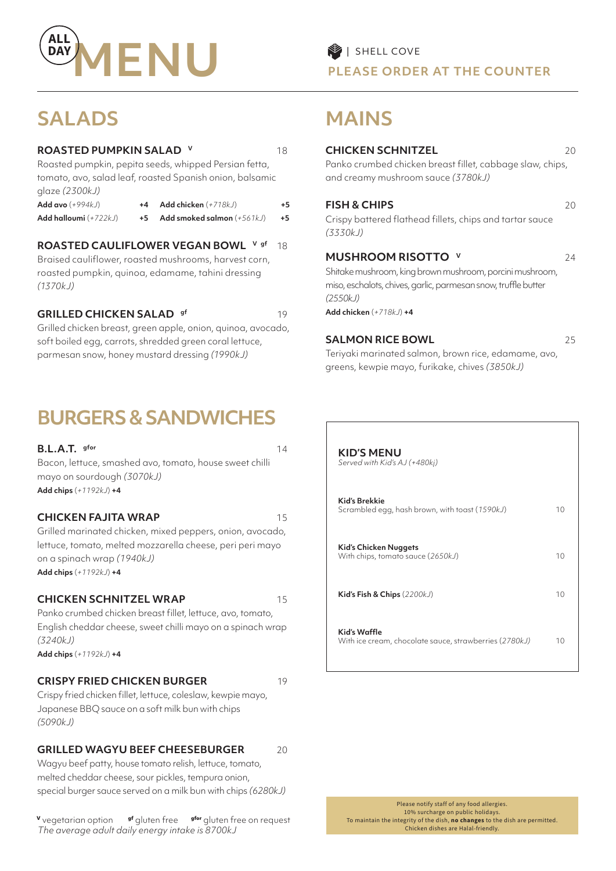

#### **ROASTED PUMPKIN SALAD V** 18

Roasted pumpkin, pepita seeds, whipped Persian fetta, tomato, avo, salad leaf, roasted Spanish onion, balsamic glaze *(2300kJ)* 

| Add avo $(+994kJ)$      | Add chicken $(+718kJ)$       | +5 |
|-------------------------|------------------------------|----|
| Add halloumi $(+722kJ)$ | Add smoked salmon $(+561kJ)$ | +5 |

#### **ROASTED CAULIFLOWER VEGAN BOWL V gf** 18

Braised cauliflower, roasted mushrooms, harvest corn, roasted pumpkin, quinoa, edamame, tahini dressing *(1370kJ)* 

#### **GRILLED CHICKEN SALAD** gf 19

Grilled chicken breast, green apple, onion, quinoa, avocado, soft boiled egg, carrots, shredded green coral lettuce, parmesan snow, honey mustard dressing *(1990kJ)*

## **BURGERS & SANDWICHES**

| $B.L.A.T.$ gfor<br>Bacon, lettuce, smashed avo, tomato, house sweet chilli<br>mayo on sourdough (3070kJ)<br>Add chips $(+1192k) + 4$                                                                            | 14 |
|-----------------------------------------------------------------------------------------------------------------------------------------------------------------------------------------------------------------|----|
| <b>CHICKEN FAJITA WRAP</b><br>Grilled marinated chicken, mixed peppers, onion, avocado,<br>lettuce, tomato, melted mozzarella cheese, peri peri mayo<br>on a spinach wrap (1940kJ)<br>Add chips $(+1192kJ) + 4$ | 15 |
| <b>CHICKEN SCHNITZEL WRAP</b><br>Panko crumbed chicken breast fillet, lettuce, avo, tomato,                                                                                                                     | 15 |

English cheddar cheese, sweet chilli mayo on a spinach wrap *(3240kJ)* 

**Add chips** (*+1192kJ*) **+4**

#### **CRISPY FRIED CHICKEN BURGER** 19

Crispy fried chicken fillet, lettuce, coleslaw, kewpie mayo, Japanese BBQ sauce on a soft milk bun with chips *(5090kJ)*

#### **GRILLED WAGYU BEEF CHEESEBURGER** 20

Wagyu beef patty, house tomato relish, lettuce, tomato, melted cheddar cheese, sour pickles, tempura onion, special burger sauce served on a milk bun with chips *(6280kJ)*

**<sup>V</sup>** vegetarian option **gf** gluten free **gfor** gluten free on request *The average adult daily energy intake is 8700kJ*

# **MAINS**

#### **CHICKEN SCHNITZEL** 20

Panko crumbed chicken breast fillet, cabbage slaw, chips, and creamy mushroom sauce *(3780kJ)* 

#### **FISH & CHIPS** 20

Crispy battered flathead fillets, chips and tartar sauce *(3330kJ)* 

#### **MUSHROOM RISOTTO v** 24

Shitake mushroom, king brown mushroom, porcini mushroom, miso, eschalots, chives, garlic, parmesan snow, truffle butter *(2550kJ)* 

**Add chicken** (*+718kJ*) **+4**

#### **SALMON RICE BOWL** 25

Teriyaki marinated salmon, brown rice, edamame, avo, greens, kewpie mayo, furikake, chives *(3850kJ)* 

| KID'S MENU<br>Served with Kid's AJ (+480kj)                            |    |
|------------------------------------------------------------------------|----|
| Kid's Brekkie<br>Scrambled egg, hash brown, with toast (1590kJ)        | 10 |
| Kid's Chicken Nuggets<br>With chips, tomato sauce (2650kJ)             | 10 |
| Kid's Fish & Chips $(2200kJ)$                                          | 10 |
| Kid's Waffle<br>With ice cream, chocolate sauce, strawberries (2780kJ) | 10 |

Please notify staff of any food allergies. 10% surcharge on public holidays. To maintain the integrity of the dish, **no changes** to the dish are permitted. Chicken dishes are Halal-friendly.